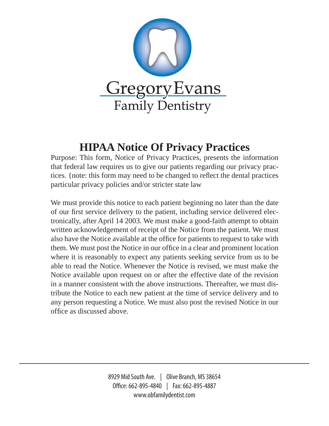

## **HIPAA Notice Of Privacy Practices**

Purpose: This form, Notice of Privacy Practices, presents the information that federal law requires us to give our patients regarding our privacy practices. {note: this form may need to be changed to reflect the dental practices particular privacy policies and/or stricter state law

We must provide this notice to each patient beginning no later than the date of our first service delivery to the patient, including service delivered electronically, after April 14 2003. We must make a good-faith attempt to obtain written acknowledgement of receipt of the Notice from the patient. We must also have the Notice available at the office for patients to request to take with them. We must post the Notice in our office in a clear and prominent location where it is reasonably to expect any patients seeking service from us to be able to read the Notice. Whenever the Notice is revised, we must make the Notice available upon request on or after the effective date of the revision in a manner consistent with the above instructions. Thereafter, we must distribute the Notice to each new patient at the time of service delivery and to any person requesting a Notice. We must also post the revised Notice in our office as discussed above.

> 8929 Mid South Ave. | Olive Branch, MS 38654 Office: 662-895-4840 | Fax: 662-895-4887 www.obfamilydentist.com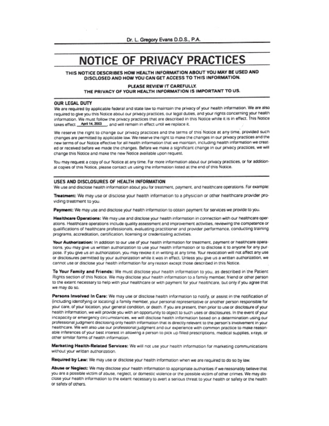## **NOTICE OF PRIVACY PRACTICES**

THIS NOTICE DESCRIBES HOW HEALTH INFORMATION ABOUT YOU MAY BE USED AND DISCLOSED AND HOW YOU CAN GET ACCESS TO THIS INFORMATION.

### PLEASE REVIEW IT CAREFULLY. THE PRIVACY OF YOUR HEALTH INFORMATION IS IMPORTANT TO US.

#### **OUR LEGAL DUTY**

We are required by applicable federal and state law to maintain the privacy of your health information. We are also required to give you this Notice about our privacy practices, our legal duties, and your rights concerning your health information. We must follow the privacy practices that are described in this Notice while it is in effect. This Notice takes effect April 14, 2003 ... and will remain in effect until we replace it.

We reserve the right to change our privacy practices and the terms of this Notice at any time, provided such changes are permitted by applicable law. We reserve the right to make the changes in our privacy practices and the new terms of our Notice effective for all health information that we maintain, including health information we created or received before we made the changes. Before we make a significant change in our privacy practices, we will change this Notice and make the new Notice available upon request.

You may request a copy of our Notice at any time. For more information about our privacy practices, or for additional copies of this Notice, please contact us using the information listed at the end of this Notice.

#### USES AND DISCLOSURES OF HEALTH INFORMATION

We use and disclose health information about you for treatment, payment, and healthcare operations. For example:

Treatment: We may use or disclose your health information to a physician or other healthcare provider providing treatment to you.

Payment: We may use and disclose your health information to obtain payment for services we provide to you.

Healthcare Operations: We may use and disclose your health information in connection with our healthcare operations. Healthcare operations include quality assessment and improvement activities, reviewing the competence or qualifications of healthcare professionals, evaluating practitioner and provider performance, conducting training programs, accreditation, certification, licensing or credentialing activities.

Your Authorization: In addition to our use of your health information for treatment, payment or healthcare operations, you may give us written authorization to use your health information or to disclose it to anyone for any purpose. If you give us an authorization, you may revoke it in writing at any time. Your revocation will not affect any use or disclosures permitted by your authorization while it was in effect. Unless you give us a written authorization, we cannot use or disclose your health information for any reason except those described in this Notice.

To Your Family and Friends: We must disclose your health information to you, as described in the Patient Rights section of this Notice. We may disclose your health information to a family member, friend or other person to the extent necessary to help with your healthcare or with payment for your healthcare, but only if you agree that we may do so.

Persons Involved In Care: We may use or disclose health information to notify, or assist in the notification of (including identifying or locating) a family member, your personal representative or another person responsible for your care, of your location, your general condition, or death. If you are present, then prior to use or disclosure of your health information, we will provide you with an opportunity to object to such uses or disclosures. In the event of your incapacity or emergency circumstances, we will disclose health information based on a determination using our professional judgment disclosing only health information that is directly relevant to the person's involvement in your healthcare. We will also use our professional judgment and our experience with common practice to make reasonable inferences of your best interest in allowing a person to pick up filled prescriptions, medical supplies, x-rays, or other similar forms of health information.

Marketing Health-Related Services: We will not use your health information for marketing communications without your written authorization.

Required by Law: We may use or disclose your health information when we are required to do so by law.

Abuse or Neglect: We may disclose your health information to appropriate authorities if we reasonably believe that you are a possible victim of abuse, neglect, or domestic violence or the possible victim of other crimes. We may disclose your health information to the extent necessary to avert a serious threat to your health or safety or the health or safety of others.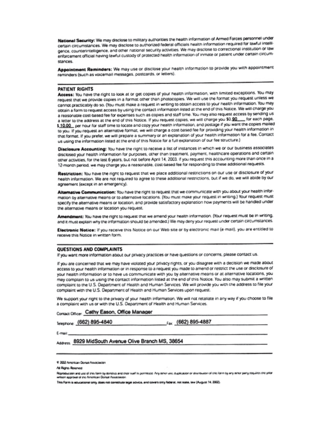National Security: We may disclose to military authorities the health information of Armed Forces personnel under certain circumstances. We may disclose to authorized federal officials health information required for lawful intelligence, counterintelligence, and other national security activities. We may disclose to correctional institution or law enforcement official having lawful custody of protected health information of inmate or patient under certain circumstances

Appointment Reminders: We may use or disclose your health information to provide you with appointment reminders (such as voicemail messages, postcards, or letters).

#### **PATIENT RIGHTS**

Access: You have the right to look at or get copies of your health information, with limited exceptions. You may request that we provide copies in a format other than photocopies. We will use the format you request unless we cannot practicably do so. (You must make a request in writing to obtain access to your health information. You may obtain a form to request access by using the contact information listed at the end of this Notice. We will charge you a reasonable cost-based fee for expenses such as copies and staff time. You may also request access by sending us a letter to the address at the end of this Notice. If you request copies, we will charge you \$0.90 for each page, \$ 10.00 per hour for staff time to locate and copy your health information, and postage if you want the copies mailed to you. If you request an alternative format, we will charge a cost-based fee for providing your health information in that format. If you prefer, we will prepare a summary or an explanation of your health information for a fee. Contact us using the information listed at the end of this Notice for a full explanation of our fee structure.)

Disclosure Accounting: You have the right to receive a list of instances in which we or our business associates disclosed your health information for purposes, other than treatment, payment, healthcare operations and certain other activities, for the last 6 years, but not before April 14, 2003. If you request this accounting more than once in a 12-month period, we may charge you a reasonable, cost-based fee for responding to these additional requests.

Restriction: You have the right to request that we place additional restrictions on our use or disclosure of your health information. We are not required to agree to these additional restrictions, but if we do, we will abide by our agreement (except in an emergency).

Alternative Communication: You have the right to request that we communicate with you about your health information by alternative means or to alternative locations. (You must make your request in writing.) Your request must specify the alternative means or location, and provide satisfactory explanation how payments will be handled under the alternative means or location you request.

Amendment: You have the right to request that we amend your health information. (Your request must be in writing, and it must explain why the information should be amended.) We may deny your request under certain circumstances.

Electronic Notice: If you receive this Notice on our Web site or by electronic mail (e-mail), you are entitled to receive this Notice in written form.

### **QUESTIONS AND COMPLAINTS**

If you want more information about our privacy practices or have questions or concerns, please contact us.

If you are concerned that we may have violated your privacy rights, or you disagree with a decision we made about access to your health information or in response to a request you made to amend or restrict the use or disclosure of your health information or to have us communicate with you by alternative means or at alternative locations, you may complain to us using the contact information listed at the end of this Notice. You also may submit a written complaint to the U.S. Department of Health and Human Services. We will provide you with the address to file your complaint with the U.S. Department of Health and Human Services upon request.

We support your right to the privacy of your health information. We will not retaliate in any way if you choose to file a complaint with us or with the U.S. Department of Health and Human Services.

Contact Officer: Cathy Eason, Office Manager

Telephone: (662) 895-4840

Fax: (662) 895-4887

E-mail:

## Assess: 8929 MidSouth Avenue Olive Branch MS, 38654

This form is acucational only, does not constitute tegel acvice, and covers only federal, not state, law (August 14, 2002).

<sup>4 2002</sup> American Donus Association

All Rights Reserved

Repreduction and use of this form by dentities and their stuff is pormitted. Any other use, duplication or cliteration of this form by any other party requires the prior when approved of the American Donue Association